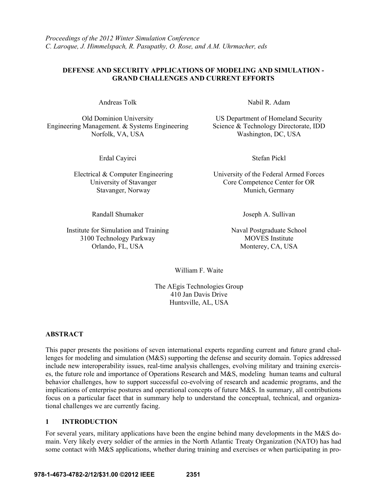## **DEFENSE AND SECURITY APPLICATIONS OF MODELING AND SIMULATION - GRAND CHALLENGES AND CURRENT EFFORTS**

Engineering Management. & Systems Engineering Science & Technology Directorate, IDD Norfolk, VA, USA Washington, DC, USA

Erdal Cavirci Stefan Pickl

Institute for Simulation and Training Naval Postgraduate School 3100 Technology Parkway MOVES Institute Orlando, FL, USA Monterey, CA, USA

Andreas Tolk Nabil R. Adam

Old Dominion University US Department of Homeland Security

Electrical & Computer Engineering University of the Federal Armed Forces University of Stavanger Core Competence Center for OR Stavanger, Norway Munich, Germany

Randall Shumaker Joseph A. Sullivan

William F. Waite

The AEgis Technologies Group 410 Jan Davis Drive Huntsville, AL, USA

### **ABSTRACT**

This paper presents the positions of seven international experts regarding current and future grand challenges for modeling and simulation (M&S) supporting the defense and security domain. Topics addressed include new interoperability issues, real-time analysis challenges, evolving military and training exercises, the future role and importance of Operations Research and M&S, modeling human teams and cultural behavior challenges, how to support successful co-evolving of research and academic programs, and the implications of enterprise postures and operational concepts of future M&S. In summary, all contributions focus on a particular facet that in summary help to understand the conceptual, technical, and organizational challenges we are currently facing.

### **1 INTRODUCTION**

For several years, military applications have been the engine behind many developments in the M&S domain. Very likely every soldier of the armies in the North Atlantic Treaty Organization (NATO) has had some contact with M&S applications, whether during training and exercises or when participating in pro-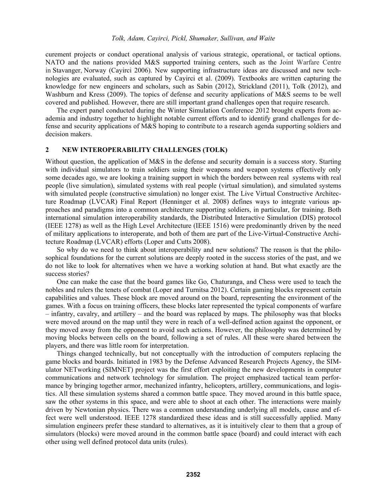curement projects or conduct operational analysis of various strategic, operational, or tactical options. NATO and the nations provided M&S supported training centers, such as the Joint Warfare Centre in Stavanger, Norway (Cayirci 2006). New supporting infrastructure ideas are discussed and new technologies are evaluated, such as captured by Cayirci et al. (2009). Textbooks are written capturing the knowledge for new engineers and scholars, such as Sabin (2012), Strickland (2011), Tolk (2012), and Washburn and Kress (2009). The topics of defense and security applications of M&S seems to be well covered and published. However, there are still important grand challenges open that require research.

The expert panel conducted during the Winter Simulation Conference 2012 brought experts from academia and industry together to highlight notable current efforts and to identify grand challenges for defense and security applications of M&S hoping to contribute to a research agenda supporting soldiers and decision makers.

#### **2 NEW INTEROPERABILITY CHALLENGES (TOLK)**

Without question, the application of M&S in the defense and security domain is a success story. Starting with individual simulators to train soldiers using their weapons and weapon systems effectively only some decades ago, we are looking a training support in which the borders between real systems with real people (live simulation), simulated systems with real people (virtual simulation), and simulated systems with simulated people (constructive simulation) no longer exist. The Live Virtual Constructive Architecture Roadmap (LVCAR) Final Report (Henninger et al. 2008) defines ways to integrate various approaches and paradigms into a common architecture supporting soldiers, in particular, for training. Both international simulation interoperability standards, the Distributed Interactive Simulation (DIS) protocol (IEEE 1278) as well as the High Level Architecture (IEEE 1516) were predominantly driven by the need of military applications to interoperate, and both of them are part of the Live-Virtual-Constructive Architecture Roadmap (LVCAR) efforts (Loper and Cutts 2008).

 So why do we need to think about interoperability and new solutions? The reason is that the philosophical foundations for the current solutions are deeply rooted in the success stories of the past, and we do not like to look for alternatives when we have a working solution at hand. But what exactly are the success stories?

One can make the case that the board games like Go, Chaturanga, and Chess were used to teach the nobles and rulers the tenets of combat (Loper and Turnitsa 2012). Certain gaming blocks represent certain capabilities and values. These block are moved around on the board, representing the environment of the games. With a focus on training officers, these blocks later represented the typical components of warfare – infantry, cavalry, and artillery – and the board was replaced by maps. The philosophy was that blocks were moved around on the map until they were in reach of a well-defined action against the opponent, or they moved away from the opponent to avoid such actions. However, the philosophy was determined by moving blocks between cells on the board, following a set of rules. All these were shared between the players, and there was little room for interpretation.

Things changed technically, but not conceptually with the introduction of computers replacing the game blocks and boards. Initiated in 1983 by the Defense Advanced Research Projects Agency, the SIMulator NETworking (SIMNET) project was the first effort exploiting the new developments in computer communications and network technology for simulation. The project emphasized tactical team performance by bringing together armor, mechanized infantry, helicopters, artillery, communications, and logistics. All these simulation systems shared a common battle space. They moved around in this battle space, saw the other systems in this space, and were able to shoot at each other. The interactions were mainly driven by Newtonian physics. There was a common understanding underlying all models, cause and effect were well understood. IEEE 1278 standardized these ideas and is still successfully applied. Many simulation engineers prefer these standard to alternatives, as it is intuitively clear to them that a group of simulators (blocks) were moved around in the common battle space (board) and could interact with each other using well defined protocol data units (rules).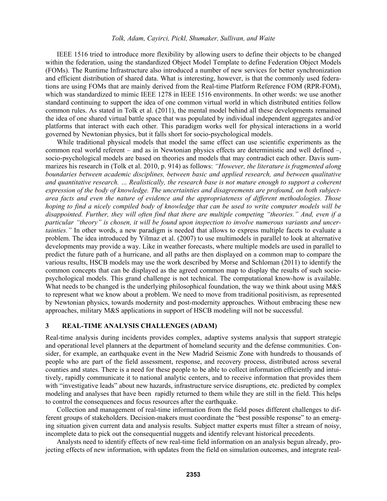IEEE 1516 tried to introduce more flexibility by allowing users to define their objects to be changed within the federation, using the standardized Object Model Template to define Federation Object Models (FOMs). The Runtime Infrastructure also introduced a number of new services for better synchronization and efficient distribution of shared data. What is interesting, however, is that the commonly used federations are using FOMs that are mainly derived from the Real-time Platform Reference FOM (RPR-FOM), which was standardized to mimic IEEE 1278 in IEEE 1516 environments. In other words: we use another standard continuing to support the idea of one common virtual world in which distributed entities follow common rules. As stated in Tolk et al. (2011), the mental model behind all these developments remained the idea of one shared virtual battle space that was populated by individual independent aggregates and/or platforms that interact with each other. This paradigm works well for physical interactions in a world governed by Newtonian physics, but it falls short for socio-psychological models.

While traditional physical models that model the same effect can use scientific experiments as the common real world referent – and as in Newtonian physics effects are deterministic and well defined –, socio-psychological models are based on theories and models that may contradict each other. Davis summarizes his research in (Tolk et al. 2010, p. 914) as follows: *"However, the literature is fragmented along boundaries between academic disciplines, between basic and applied research, and between qualitative and quantitative research. … Realistically, the research base is not mature enough to support a coherent expression of the body of knowledge. The uncertainties and disagreements are profound, on both subjectarea facts and even the nature of evidence and the appropriateness of different methodologies. Those hoping to find a nicely compiled body of knowledge that can be used to write computer models will be disappointed. Further, they will often find that there are multiple competing "theories." And, even if a particular "theory" is chosen, it will be found upon inspection to involve numerous variants and uncertainties.*" In other words, a new paradigm is needed that allows to express multiple facets to evaluate a problem. The idea introduced by Yilmaz et al. (2007) to use multimodels in parallel to look at alternative developments may provide a way. Like in weather forecasts, where multiple models are used in parallel to predict the future path of a hurricane, and all paths are then displayed on a common map to compare the various results, HSCB models may use the work described by Morse and Schloman (2011) to identify the common concepts that can be displayed as the agreed common map to display the results of such sociopsychological models. This grand challenge is not technical. The computational know-how is available. What needs to be changed is the underlying philosophical foundation, the way we think about using M&S to represent what we know about a problem. We need to move from traditional positivism, as represented by Newtonian physics, towards modernity and post-modernity approaches. Without embracing these new approaches, military M&S applications in support of HSCB modeling will not be successful.

#### **3 REAL-TIME ANALYSIS CHALLENGES (ADAM)**

Real-time analysis during incidents provides complex, adaptive systems analysis that support strategic and operational level planners at the department of homeland security and the defense communities. Consider, for example, an earthquake event in the New Madrid Seismic Zone with hundreds to thousands of people who are part of the field assessment, response, and recovery process, distributed across several counties and states. There is a need for these people to be able to collect information efficiently and intuitively, rapidly communicate it to national analytic centers, and to receive information that provides them with "investigative leads" about new hazards, infrastructure service disruptions, etc. predicted by complex modeling and analyses that have been rapidly returned to them while they are still in the field. This helps to control the consequences and focus resources after the earthquake.

Collection and management of real-time information from the field poses different challenges to different groups of stakeholders. Decision-makers must coordinate the "best possible response" to an emerging situation given current data and analysis results. Subject matter experts must filter a stream of noisy, incomplete data to pick out the consequential nuggets and identify relevant historical precedents.

Analysts need to identify effects of new real-time field information on an analysis begun already, projecting effects of new information, with updates from the field on simulation outcomes, and integrate real-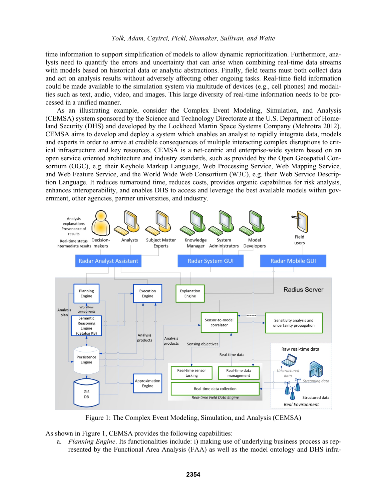time information to support simplification of models to allow dynamic reprioritization. Furthermore, analysts need to quantify the errors and uncertainty that can arise when combining real-time data streams with models based on historical data or analytic abstractions. Finally, field teams must both collect data and act on analysis results without adversely affecting other ongoing tasks. Real-time field information could be made available to the simulation system via multitude of devices (e.g., cell phones) and modalities such as text, audio, video, and images. This large diversity of real-time information needs to be processed in a unified manner.

As an illustrating example, consider the Complex Event Modeling, Simulation, and Analysis (CEMSA) system sponsored by the Science and Technology Directorate at the U.S. Department of Homeland Security (DHS) and developed by the Lockheed Martin Space Systems Company (Mehrotra 2012). CEMSA aims to develop and deploy a system which enables an analyst to rapidly integrate data, models and experts in order to arrive at credible consequences of multiple interacting complex disruptions to critical infrastructure and key resources. CEMSA is a net-centric and enterprise-wide system based on an open service oriented architecture and industry standards, such as provided by the Open Geospatial Consortium (OGC), e.g. their Keyhole Markup Language, Web Processing Service, Web Mapping Service, and Web Feature Service, and the World Wide Web Consortium (W3C), e.g. their Web Service Description Language. It reduces turnaround time, reduces costs, provides organic capabilities for risk analysis, enhances interoperability, and enables DHS to access and leverage the best available models within government, other agencies, partner universities, and industry.



Figure 1: The Complex Event Modeling, Simulation, and Analysis (CEMSA)

As shown in Figure 1, CEMSA provides the following capabilities:

a. *Planning Engine*. Its functionalities include: i) making use of underlying business process as represented by the Functional Area Analysis (FAA) as well as the model ontology and DHS infra-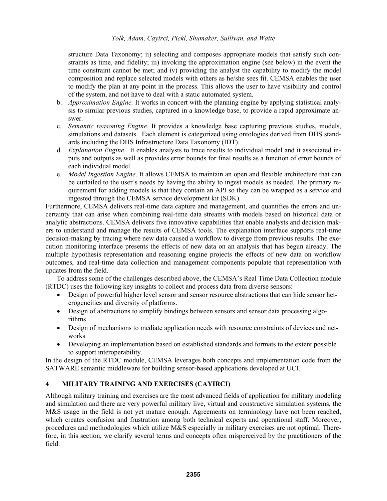structure Data Taxonomy; ii) selecting and composes appropriate models that satisfy such constraints as time, and fidelity; iii) invoking the approximation engine (see below) in the event the time constraint cannot be met; and iv) providing the analyst the capability to modify the model composition and replace selected models with others as he/she sees fit. CEMSA enables the user to modify the plan at any point in the process. This allows the user to have visibility and control of the system, and not have to deal with a static automated system.

- b. *Approximation Engine.* It works in concert with the planning engine by applying statistical analysis to similar previous studies, captured in a knowledge base, to provide a rapid approximate answer.
- c. *Semantic reasoning Engine.* It provides a knowledge base capturing previous studies, models, simulations and datasets. Each element is categorized using ontologies derived from DHS standards including the DHS Infrastructure Data Taxonomy (IDT).
- d. *Explanation Engine*. It enables analysts to trace results to individual model and it associated inputs and outputs as well as provides error bounds for final results as a function of error bounds of each individual model.
- e. *Model Ingestion Engine*. It allows CEMSA to maintain an open and flexible architecture that can be curtailed to the user's needs by having the ability to ingest models as needed. The primary requirement for adding models is that they contain an API so they can be wrapped as a service and ingested through the CEMSA service development kit (SDK).

Furthermore, CEMSA delivers real-time data capture and management, and quantifies the errors and uncertainty that can arise when combining real-time data streams with models based on historical data or analytic abstractions. CEMSA delivers five innovative capabilities that enable analysts and decision makers to understand and manage the results of CEMSA tools. The explanation interface supports real-time decision-making by tracing where new data caused a workflow to diverge from previous results. The execution monitoring interface presents the effects of new data on an analysis that has begun already. The multiple hypothesis representation and reasoning engine projects the effects of new data on workflow outcomes, and real-time data collection and management components populate that representation with updates from the field.

To address some of the challenges described above, the CEMSA's Real Time Data Collection module (RTDC) uses the following key insights to collect and process data from diverse sensors:

- Design of powerful higher level sensor and sensor resource abstractions that can hide sensor heterogeneities and diversity of platforms.
- Design of abstractions to simplify bindings between sensors and sensor data processing algorithms
- Design of mechanisms to mediate application needs with resource constraints of devices and networks
- Developing an implementation based on established standards and formats to the extent possible to support interoperability.

In the design of the RTDC module, CEMSA leverages both concepts and implementation code from the SATWARE semantic middleware for building sensor-based applications developed at UCI.

# **4 MILITARY TRAINING AND EXERCISES (CAYIRCI)**

Although military training and exercises are the most advanced fields of application for military modeling and simulation and there are very powerful military live, virtual and constructive simulation systems, the M&S usage in the field is not yet mature enough. Agreements on terminology have not been reached, which creates confusion and frustration among both technical experts and operational staff. Moreover, procedures and methodologies which utilize M&S especially in military exercises are not optimal. Therefore, in this section, we clarify several terms and concepts often misperceived by the practitioners of the field.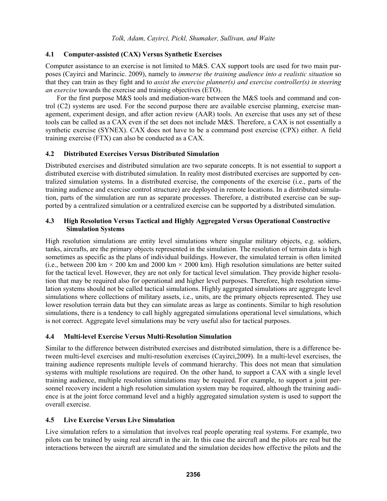## **4.1 Computer-assisted (CAX) Versus Synthetic Exercises**

Computer assistance to an exercise is not limited to M&S. CAX support tools are used for two main purposes (Cayirci and Marincic. 2009), namely to *immerse the training audience into a realistic situation* so that they can train as they fight and to *assist the exercise planner(s) and exercise controller(s) in steering an exercise* towards the exercise and training objectives (ETO).

For the first purpose M&S tools and mediation-ware between the M&S tools and command and control (C2) systems are used. For the second purpose there are available exercise planning, exercise management, experiment design, and after action review (AAR) tools. An exercise that uses any set of these tools can be called as a CAX even if the set does not include M&S. Therefore, a CAX is not essentially a synthetic exercise (SYNEX). CAX does not have to be a command post exercise (CPX) either. A field training exercise (FTX) can also be conducted as a CAX.

## **4.2 Distributed Exercises Versus Distributed Simulation**

Distributed exercises and distributed simulation are two separate concepts. It is not essential to support a distributed exercise with distributed simulation. In reality most distributed exercises are supported by centralized simulation systems. In a distributed exercise, the components of the exercise (i.e., parts of the training audience and exercise control structure) are deployed in remote locations. In a distributed simulation, parts of the simulation are run as separate processes. Therefore, a distributed exercise can be supported by a centralized simulation or a centralized exercise can be supported by a distributed simulation.

## **4.3 High Resolution Versus Tactical and Highly Aggregated Versus Operational Constructive Simulation Systems**

High resolution simulations are entity level simulations where singular military objects, e.g. soldiers, tanks, aircrafts, are the primary objects represented in the simulation. The resolution of terrain data is high sometimes as specific as the plans of individual buildings. However, the simulated terrain is often limited (i.e., between 200 km  $\times$  200 km and 2000 km  $\times$  2000 km). High resolution simulations are better suited for the tactical level. However, they are not only for tactical level simulation. They provide higher resolution that may be required also for operational and higher level purposes. Therefore, high resolution simulation systems should not be called tactical simulations. Highly aggregated simulations are aggregate level simulations where collections of military assets, i.e., units, are the primary objects represented. They use lower resolution terrain data but they can simulate areas as large as continents. Similar to high resolution simulations, there is a tendency to call highly aggregated simulations operational level simulations, which is not correct. Aggregate level simulations may be very useful also for tactical purposes.

# **4.4 Multi-level Exercise Versus Multi-Resolution Simulation**

Similar to the difference between distributed exercises and distributed simulation, there is a difference between multi-level exercises and multi-resolution exercises (Cayirci,2009). In a multi-level exercises, the training audience represents multiple levels of command hierarchy. This does not mean that simulation systems with multiple resolutions are required. On the other hand, to support a CAX with a single level training audience, multiple resolution simulations may be required. For example, to support a joint personnel recovery incident a high resolution simulation system may be required, although the training audience is at the joint force command level and a highly aggregated simulation system is used to support the overall exercise.

# **4.5 Live Exercise Versus Live Simulation**

Live simulation refers to a simulation that involves real people operating real systems. For example, two pilots can be trained by using real aircraft in the air. In this case the aircraft and the pilots are real but the interactions between the aircraft are simulated and the simulation decides how effective the pilots and the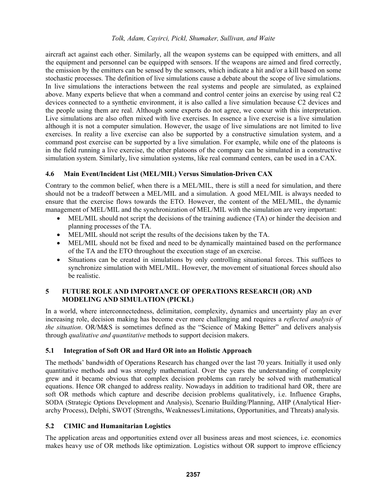aircraft act against each other. Similarly, all the weapon systems can be equipped with emitters, and all the equipment and personnel can be equipped with sensors. If the weapons are aimed and fired correctly, the emission by the emitters can be sensed by the sensors, which indicate a hit and/or a kill based on some stochastic processes. The definition of live simulations cause a debate about the scope of live simulations. In live simulations the interactions between the real systems and people are simulated, as explained above. Many experts believe that when a command and control center joins an exercise by using real C2 devices connected to a synthetic environment, it is also called a live simulation because C2 devices and the people using them are real. Although some experts do not agree, we concur with this interpretation. Live simulations are also often mixed with live exercises. In essence a live exercise is a live simulation although it is not a computer simulation. However, the usage of live simulations are not limited to live exercises. In reality a live exercise can also be supported by a constructive simulation system, and a command post exercise can be supported by a live simulation. For example, while one of the platoons is in the field running a live exercise, the other platoons of the company can be simulated in a constructive simulation system. Similarly, live simulation systems, like real command centers, can be used in a CAX.

## **4.6 Main Event/Incident List (MEL/MIL) Versus Simulation-Driven CAX**

Contrary to the common belief, when there is a MEL/MIL, there is still a need for simulation, and there should not be a tradeoff between a MEL/MIL and a simulation. A good MEL/MIL is always needed to ensure that the exercise flows towards the ETO. However, the content of the MEL/MIL, the dynamic management of MEL/MIL and the synchronization of MEL/MIL with the simulation are very important:

- MEL/MIL should not script the decisions of the training audience (TA) or hinder the decision and planning processes of the TA.
- MEL/MIL should not script the results of the decisions taken by the TA.
- MEL/MIL should not be fixed and need to be dynamically maintained based on the performance of the TA and the ETO throughout the execution stage of an exercise.
- Situations can be created in simulations by only controlling situational forces. This suffices to synchronize simulation with MEL/MIL. However, the movement of situational forces should also be realistic.

# **5 FUTURE ROLE AND IMPORTANCE OF OPERATIONS RESEARCH (OR) AND MODELING AND SIMULATION (PICKL)**

In a world, where interconnectedness, delimitation, complexity, dynamics and uncertainty play an ever increasing role, decision making has become ever more challenging and requires a *reflected analysis of the situation*. OR/M&S is sometimes defined as the "Science of Making Better" and delivers analysis through *qualitative and quantitative* methods to support decision makers.

### **5.1 Integration of Soft OR and Hard OR into an Holistic Approach**

The methods' bandwidth of Operations Research has changed over the last 70 years. Initially it used only quantitative methods and was strongly mathematical. Over the years the understanding of complexity grew and it became obvious that complex decision problems can rarely be solved with mathematical equations. Hence OR changed to address reality. Nowadays in addition to traditional hard OR, there are soft OR methods which capture and describe decision problems qualitatively, i.e. Influence Graphs, SODA (Strategic Options Development and Analysis), Scenario Building/Planning, AHP (Analytical Hierarchy Process), Delphi, SWOT (Strengths, Weaknesses/Limitations, Opportunities, and Threats) analysis.

# **5.2 CIMIC and Humanitarian Logistics**

The application areas and opportunities extend over all business areas and most sciences, i.e. economics makes heavy use of OR methods like optimization. Logistics without OR support to improve efficiency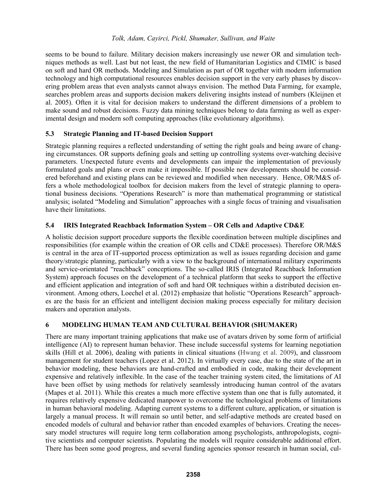seems to be bound to failure. Military decision makers increasingly use newer OR and simulation techniques methods as well. Last but not least, the new field of Humanitarian Logistics and CIMIC is based on soft and hard OR methods. Modeling and Simulation as part of OR together with modern information technology and high computational resources enables decision support in the very early phases by discovering problem areas that even analysts cannot always envision. The method Data Farming, for example, searches problem areas and supports decision makers delivering insights instead of numbers (Kleijnen et al. 2005). Often it is vital for decision makers to understand the different dimensions of a problem to make sound and robust decisions. Fuzzy data mining techniques belong to data farming as well as experimental design and modern soft computing approaches (like evolutionary algorithms).

# **5.3 Strategic Planning and IT-based Decision Support**

Strategic planning requires a reflected understanding of setting the right goals and being aware of changing circumstances. OR supports defining goals and setting up controlling systems over-watching decisive parameters. Unexpected future events and developments can impair the implementation of previously formulated goals and plans or even make it impossible. If possible new developments should be considered beforehand and existing plans can be reviewed and modified when necessary. Hence, OR/M&S offers a whole methodological toolbox for decision makers from the level of strategic planning to operational business decisions. "Operations Research" is more than mathematical programming or statistical analysis; isolated "Modeling and Simulation" approaches with a single focus of training and visualisation have their limitations.

## **5.4 IRIS Integrated Reachback Information System – OR Cells and Adaptive CD&E**

A holistic decision support procedure supports the flexible coordination between multiple disciplines and responsibilities (for example within the creation of OR cells and CD&E processes). Therefore OR/M&S is central in the area of IT-supported process optimization as well as issues regarding decision and game theory/strategic planning, particularly with a view to the background of international military experiments and service-orientated "reachback" conceptions. The so-called IRIS (Integrated Reachback Information System) approach focuses on the development of a technical platform that seeks to support the effective and efficient application and integration of soft and hard OR techniques within a distributed decision environment. Among others, Loechel et al. (2012) emphasize that holistic "Operations Research" approaches are the basis for an efficient and intelligent decision making process especially for military decision makers and operation analysts.

# **6 MODELING HUMAN TEAM AND CULTURAL BEHAVIOR (SHUMAKER)**

There are many important training applications that make use of avatars driven by some form of artificial intelligence (AI) to represent human behavior. These include successful systems for learning negotiation skills (Hill et al. 2006), dealing with patients in clinical situations (Hwang et al. 2009), and classroom management for student teachers (Lopez et al. 2012). In virtually every case, due to the state of the art in behavior modeling, these behaviors are hand-crafted and embodied in code, making their development expensive and relatively inflexible. In the case of the teacher training system cited, the limitations of AI have been offset by using methods for relatively seamlessly introducing human control of the avatars (Mapes et al. 2011). While this creates a much more effective system than one that is fully automated, it requires relatively expensive dedicated manpower to overcome the technological problems of limitations in human behavioral modeling. Adapting current systems to a different culture, application, or situation is largely a manual process. It will remain so until better, and self-adaptive methods are created based on encoded models of cultural and behavior rather than encoded examples of behaviors. Creating the necessary model structures will require long term collaboration among psychologists, anthropologists, cognitive scientists and computer scientists. Populating the models will require considerable additional effort. There has been some good progress, and several funding agencies sponsor research in human social, cul-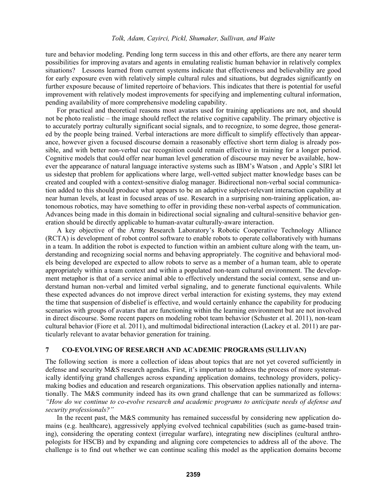ture and behavior modeling. Pending long term success in this and other efforts, are there any nearer term possibilities for improving avatars and agents in emulating realistic human behavior in relatively complex situations? Lessons learned from current systems indicate that effectiveness and believability are good for early exposure even with relatively simple cultural rules and situations, but degrades significantly on further exposure because of limited repertoire of behaviors. This indicates that there is potential for useful improvement with relatively modest improvements for specifying and implementing cultural information, pending availability of more comprehensive modeling capability.

For practical and theoretical reasons most avatars used for training applications are not, and should not be photo realistic – the image should reflect the relative cognitive capability. The primary objective is to accurately portray culturally significant social signals, and to recognize, to some degree, those generated by the people being trained. Verbal interactions are more difficult to simplify effectively than appearance, however given a focused discourse domain a reasonably effective short term dialog is already possible, and with better non-verbal cue recognition could remain effective in training for a longer period. Cognitive models that could offer near human level generation of discourse may never be available, however the appearance of natural language interactive systems such as IBM's Watson , and Apple's SIRI let us sidestep that problem for applications where large, well-vetted subject matter knowledge bases can be created and coupled with a context-sensitive dialog manager. Bidirectional non-verbal social communication added to this should produce what appears to be an adaptive subject-relevant interaction capability at near human levels, at least in focused areas of use. Research in a surprising non-training application, autonomous robotics, may have something to offer in providing these non-verbal aspects of communication. Advances being made in this domain in bidirectional social signaling and cultural-sensitive behavior generation should be directly applicable to human-avatar culturally-aware interaction.

A key objective of the Army Research Laboratory's Robotic Cooperative Technology Alliance (RCTA) is development of robot control software to enable robots to operate collaboratively with humans in a team. In addition the robot is expected to function within an ambient culture along with the team, understanding and recognizing social norms and behaving appropriately. The cognitive and behavioral models being developed are expected to allow robots to serve as a member of a human team, able to operate appropriately within a team context and within a populated non-team cultural environment. The development metaphor is that of a service animal able to effectively understand the social context, sense and understand human non-verbal and limited verbal signaling, and to generate functional equivalents. While these expected advances do not improve direct verbal interaction for existing systems, they may extend the time that suspension of disbelief is effective, and would certainly enhance the capability for producing scenarios with groups of avatars that are functioning within the learning environment but are not involved in direct discourse. Some recent papers on modeling robot team behavior (Schuster et al. 2011), non-team cultural behavior (Fiore et al. 2011), and multimodal bidirectional interaction (Lackey et al. 2011) are particularly relevant to avatar behavior generation for training.

#### **7 CO-EVOLVING OF RESEARCH AND ACADEMIC PROGRAMS (SULLIVAN)**

The following section is more a collection of ideas about topics that are not yet covered sufficiently in defense and security M&S research agendas. First, it's important to address the process of more systematically identifying grand challenges across expanding application domains, technology providers, policymaking bodies and education and research organizations. This observation applies nationally and internationally. The M&S community indeed has its own grand challenge that can be summarized as follows: *"How do we continue to co-evolve research and academic programs to anticipate needs of defense and security professionals?"* 

In the recent past, the M&S community has remained successful by considering new application domains (e.g. healthcare), aggressively applying evolved technical capabilities (such as game-based training), considering the operating context (irregular warfare), integrating new disciplines (cultural anthropologists for HSCB) and by expanding and aligning core competencies to address all of the above. The challenge is to find out whether we can continue scaling this model as the application domains become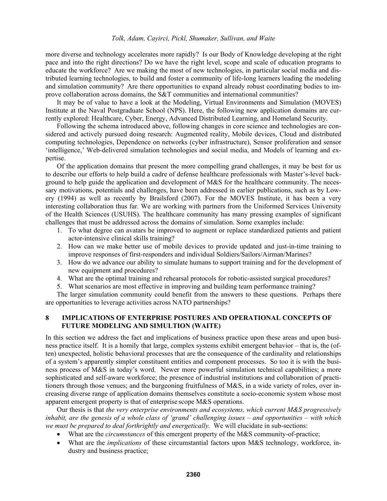more diverse and technology accelerates more rapidly? Is our Body of Knowledge developing at the right pace and into the right directions? Do we have the right level, scope and scale of education programs to educate the workforce? Are we making the most of new technologies, in particular social media and distributed learning technologies, to build and foster a community of life-long learners leading the modeling and simulation community? Are there opportunities to expand already robust coordinating bodies to improve collaboration across domains, the S&T communities and international communities?

It may be of value to have a look at the Modeling, Virtual Environments and Simulation (MOVES) Institute at the Naval Postgraduate School (NPS). Here, the following new application domains are currently explored: Healthcare, Cyber, Energy, Advanced Distributed Learning, and Homeland Security.

Following the schema introduced above, following changes in core science and technologies are considered and actively pursued doing research: Augmented reality, Mobile devices, Cloud and distributed computing technologies, Dependence on networks (cyber infrastructure), Sensor proliferation and sensor 'intelligence,' Web-delivered simulation technologies and social media, and Models of learning and expertise.

Of the application domains that present the more compelling grand challenges, it may be best for us to describe our efforts to help build a cadre of defense healthcare professionals with Master's-level background to help guide the application and development of M&S for the healthcare community. The necessary motivations, potentials and challenges, have been addressed in earlier publications, such as by Lowery (1994) as well as recently by Brailsford (2007). For the MOVES Institute, it has been a very interesting collaboration thus far. We are working with partners from the Uniformed Services University of the Health Sciences (USUHS). The healthcare community has many pressing examples of significant challenges that must be addressed across the domains of simulation. Some examples include:

- 1. To what degree can avatars be improved to augment or replace standardized patients and patient actor-intensive clinical skills training?
- 2. How can we make better use of mobile devices to provide updated and just-in-time training to improve responses of first-responders and individual Soldiers/Sailors/Airman/Marines?
- 3. How do we advance our ability to simulate humans to support training and for the development of new equipment and procedures?
- 4. What are the optimal training and rehearsal protocols for robotic-assisted surgical procedures?
- 5. What scenarios are most effective in improving and building team performance training?

The larger simulation community could benefit from the answers to these questions. Perhaps there are opportunities to leverage activities across NATO partnerships?

### **8 IMPLICATIONS OF ENTERPRISE POSTURES AND OPERATIONAL CONCEPTS OF FUTURE MODELING AND SIMULTION (WAITE)**

In this section we address the fact and implications of business practice upon these areas and upon business practice itself. It is a homily that large, complex systems exhibit emergent behavior – that is, the (often) unexpected, holistic behavioral processes that are the consequence of the cardinality and relationships of a system's apparently simpler constituent entities and component processes. So too it is with the business process of M&S in today's word. Newer more powerful simulation technical capabilities; a more sophisticated and self-aware workforce; the presence of industrial institutions and collaboration of practitioners through those venues; and the burgeoning fruitfulness of M&S, in a wide variety of roles, over increasing diverse range of application domains themselves constitute a socio-economic system whose most apparent emergent property is that of enterprise scope M&S operations.

Our thesis is that *the very enterprise environments and ecosystems, which current M&S progressively inhabit, are the genesis of a whole class of 'grand' challenging issues – and opportunities – with which we must be prepared to deal forthrightly and energetically.* We will elucidate in sub-sections:

- What are the *circumstances* of this emergent property of the M&S community-of-practice;
- What are the *implications* of these circumstantial factors upon M&S technology, workforce, industry and business practice;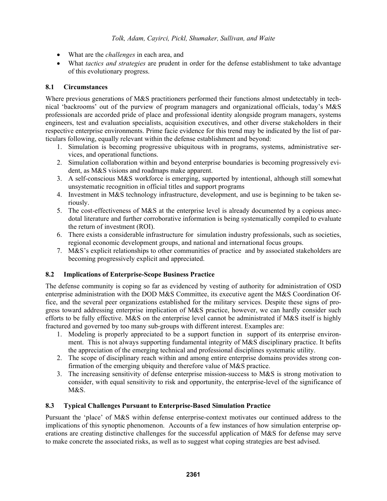- What are the *challenges* in each area, and
- What *tactics and strategies* are prudent in order for the defense establishment to take advantage of this evolutionary progress.

# **8.1 Circumstances**

Where previous generations of M&S practitioners performed their functions almost undetectably in technical 'backrooms' out of the purview of program managers and organizational officials, today's M&S professionals are accorded pride of place and professional identity alongside program managers, systems engineers, test and evaluation specialists, acquisition executives, and other diverse stakeholders in their respective enterprise environments. Prime facie evidence for this trend may be indicated by the list of particulars following, equally relevant within the defense establishment and beyond:

- 1. Simulation is becoming progressive ubiquitous with in programs, systems, administrative services, and operational functions.
- 2. Simulation collaboration within and beyond enterprise boundaries is becoming progressively evident, as M&S visions and roadmaps make apparent.
- 3. A self-conscious M&S workforce is emerging, supported by intentional, although still somewhat unsystematic recognition in official titles and support programs
- 4. Investment in M&S technology infrastructure, development, and use is beginning to be taken seriously.
- 5. The cost-effectiveness of M&S at the enterprise level is already documented by a copious anecdotal literature and further corroborative information is being systematically compiled to evaluate the return of investment (ROI).
- 6. There exists a considerable infrastructure for simulation industry professionals, such as societies, regional economic development groups, and national and international focus groups.
- 7. M&S's explicit relationships to other communities of practice and by associated stakeholders are becoming progressively explicit and appreciated.

# **8.2 Implications of Enterprise-Scope Business Practice**

The defense community is coping so far as evidenced by vesting of authority for administration of OSD enterprise administration with the DOD M&S Committee, its executive agent the M&S Coordination Office, and the several peer organizations established for the military services. Despite these signs of progress toward addressing enterprise implication of M&S practice, however, we can hardly consider such efforts to be fully effective. M&S on the enterprise level cannot be administrated if M&S itself is highly fractured and governed by too many sub-groups with different interest. Examples are:

- 1. Modeling is properly appreciated to be a support function in support of its enterprise environment. This is not always supporting fundamental integrity of M&S disciplinary practice. It befits the appreciation of the emerging technical and professional disciplines systematic utility.
- 2. The scope of disciplinary reach within and among entire enterprise domains provides strong confirmation of the emerging ubiquity and therefore value of M&S practice.
- 3. The increasing sensitivity of defense enterprise mission-success to M&S is strong motivation to consider, with equal sensitivity to risk and opportunity, the enterprise-level of the significance of M&S.

# **8.3 Typical Challenges Pursuant to Enterprise-Based Simulation Practice**

Pursuant the 'place' of M&S within defense enterprise-context motivates our continued address to the implications of this synoptic phenomenon. Accounts of a few instances of how simulation enterprise operations are creating distinctive challenges for the successful application of M&S for defense may serve to make concrete the associated risks, as well as to suggest what coping strategies are best advised.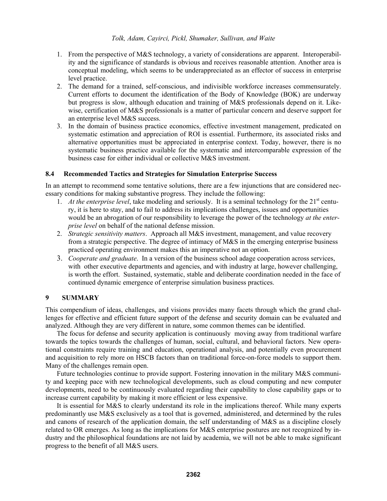- 1. From the perspective of M&S technology, a variety of considerations are apparent. Interoperability and the significance of standards is obvious and receives reasonable attention. Another area is conceptual modeling, which seems to be underappreciated as an effector of success in enterprise level practice.
- 2. The demand for a trained, self-conscious, and indivisible workforce increases commensurately. Current efforts to document the identification of the Body of Knowledge (BOK) are underway but progress is slow, although education and training of M&S professionals depend on it. Likewise, certification of M&S professionals is a matter of particular concern and deserve support for an enterprise level M&S success.
- 3. In the domain of business practice economics, effective investment management, predicated on systematic estimation and appreciation of ROI is essential. Furthermore, its associated risks and alternative opportunities must be appreciated in enterprise context. Today, however, there is no systematic business practice available for the systematic and intercomparable expression of the business case for either individual or collective M&S investment.

#### **8.4 Recommended Tactics and Strategies for Simulation Enterprise Success**

In an attempt to recommend some tentative solutions, there are a few injunctions that are considered necessary conditions for making substantive progress. They include the following:

- 1. *At the enterprise level*, take modeling and seriously. It is a seminal technology for the 21<sup>st</sup> century, it is here to stay, and to fail to address its implications challenges, issues and opportunities would be an abrogation of our responsibility to leverage the power of the technology *at the enterprise level* on behalf of the national defense mission.
- 2. *Strategic sensitivity matters*. Approach all M&S investment, management, and value recovery from a strategic perspective. The degree of intimacy of M&S in the emerging enterprise business practiced operating environment makes this an imperative not an option.
- 3. *Cooperate and graduate*. In a version of the business school adage cooperation across services, with other executive departments and agencies, and with industry at large, however challenging, is worth the effort. Sustained, systematic, stable and deliberate coordination needed in the face of continued dynamic emergence of enterprise simulation business practices.

### **9 SUMMARY**

This compendium of ideas, challenges, and visions provides many facets through which the grand challenges for effective and efficient future support of the defense and security domain can be evaluated and analyzed. Although they are very different in nature, some common themes can be identified.

The focus for defense and security application is continuously moving away from traditional warfare towards the topics towards the challenges of human, social, cultural, and behavioral factors. New operational constraints require training and education, operational analysis, and potentially even procurement and acquisition to rely more on HSCB factors than on traditional force-on-force models to support them. Many of the challenges remain open.

Future technologies continue to provide support. Fostering innovation in the military M&S community and keeping pace with new technological developments, such as cloud computing and new computer developments, need to be continuously evaluated regarding their capability to close capability gaps or to increase current capability by making it more efficient or less expensive.

It is essential for M&S to clearly understand its role in the implications thereof. While many experts predominantly use M&S exclusively as a tool that is governed, administered, and determined by the rules and canons of research of the application domain, the self understanding of M&S as a discipline closely related to OR emerges. As long as the implications for M&S enterprise postures are not recognized by industry and the philosophical foundations are not laid by academia, we will not be able to make significant progress to the benefit of all M&S users.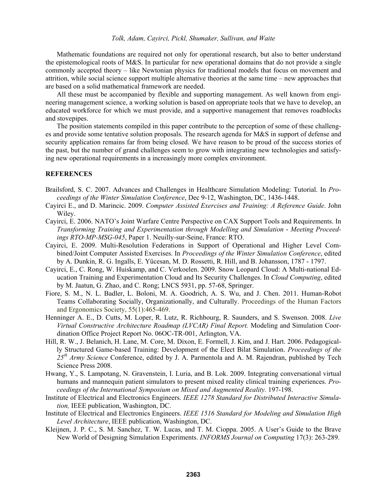Mathematic foundations are required not only for operational research, but also to better understand the epistemological roots of M&S. In particular for new operational domains that do not provide a single commonly accepted theory – like Newtonian physics for traditional models that focus on movement and attrition, while social science support multiple alternative theories at the same time – new approaches that are based on a solid mathematical framework are needed.

All these must be accompanied by flexible and supporting management. As well known from engineering management science, a working solution is based on appropriate tools that we have to develop, an educated workforce for which we must provide, and a supportive management that removes roadblocks and stovepipes.

The position statements compiled in this paper contribute to the perception of some of these challenges and provide some tentative solution proposals. The research agenda for M&S in support of defense and security application remains far from being closed. We have reason to be proud of the success stories of the past, but the number of grand challenges seem to grow with integrating new technologies and satisfying new operational requirements in a increasingly more complex environment.

#### **REFERENCES**

- Brailsford, S. C. 2007. Advances and Challenges in Healthcare Simulation Modeling: Tutorial. In *Proceedings of the Winter Simulation Conference*, Dec 9-12, Washington, DC, 1436-1448.
- Cayirci E., and D. Marincic. 2009. *Computer Assisted Exercises and Training: A Reference Guide*. John Wiley.
- Cayirci, E. 2006. NATO's Joint Warfare Centre Perspective on CAX Support Tools and Requirements. In *Transforming Training and Experimentation through Modelling and Simulation* - *Meeting Proceedings RTO-MP-MSG-045*, Paper 1. Neuilly-sur-Seine, France: RTO.
- Cayirci, E. 2009. Multi-Resolution Federations in Support of Operational and Higher Level Combined/Joint Computer Assisted Exercises. In *Proceedings of the Winter Simulation Conference*, edited by A. Dunkin, R. G. Ingalls, E. Yücesan, M. D. Rossetti, R. Hill, and B. Johansson, 1787 - 1797.
- Cayirci, E., C. Rong, W. Huiskamp, and C. Verkoelen. 2009. Snow Leopard Cloud: A Multi-national Education Training and Experimentation Cloud and Its Security Challenges. In *Cloud Computing*, edited by M. Jaatun, G. Zhao, and C. Rong; LNCS 5931, pp. 57-68, Springer.
- Fiore, S. M., N. L. Badler, L. Boloni, M. A. Goodrich, A. S. Wu, and J. Chen. 2011. Human-Robot Teams Collaborating Socially, Organizationally, and Culturally. Proceedings of the Human Factors and Ergonomics Society, 55(1):465-469.
- Henninger A. E., D. Cutts, M. Loper, R. Lutz, R. Richbourg, R. Saunders, and S. Swenson. 2008. *Live Virtual Constructive Architecture Roadmap (LVCAR) Final Report.* Modeling and Simulation Coordination Office Project Report No. 06OC-TR-001, Arlington, VA.
- Hill, R. W., J. Belanich, H. Lane, M. Core, M. Dixon, E. Formell, J. Kim, and J. Hart. 2006. Pedagogically Structured Game-based Training: Development of the Elect Bilat Simulation. *Proceedings of the 25th Army Science* Conference, edited by J. A. Parmentola and A. M. Rajendran, published by Tech Science Press 2008.
- Hwang, Y., S. Lampotang, N. Gravenstein, I. Luria, and B. Lok. 2009. Integrating conversational virtual humans and mannequin patient simulators to present mixed reality clinical training experiences. *Proceedings of the International Symposium on Mixed and Augmented Reality.* 197-198.
- Institute of Electrical and Electronics Engineers. *IEEE 1278 Standard for Distributed Interactive Simulation,* IEEE publication, Washington, DC.
- Institute of Electrical and Electronics Engineers. *IEEE 1516 Standard for Modeling and Simulation High Level Architecture*, IEEE publication, Washington, DC.
- Kleijnen, J. P. C., S. M. Sanchez, T. W. Lucas, and T. M. Cioppa. 2005. A User's Guide to the Brave New World of Designing Simulation Experiments. *INFORMS Journal on Computing* 17(3): 263-289.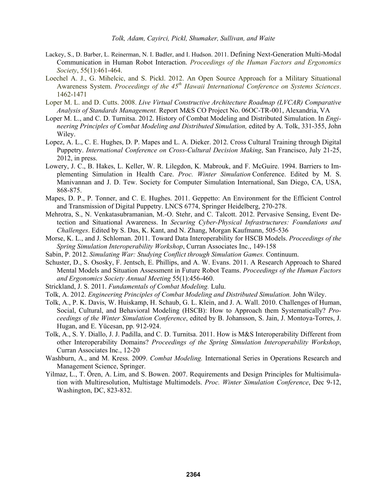- Lackey, S., D. Barber, L. Reinerman, N. I. Badler, and I. Hudson. 2011. Defining Next-Generation Multi-Modal Communication in Human Robot Interaction. *Proceedings of the Human Factors and Ergonomics Society*, 55(1):461-464.
- Loechel A. J., G. Mihelcic, and S. Pickl. 2012. An Open Source Approach for a Military Situational Awareness System. *Proceedings of the 45th Hawaii International Conference on Systems Sciences*. 1462-1471
- Loper M. L. and D. Cutts. 2008. *Live Virtual Constructive Architecture Roadmap (LVCAR) Comparative Analysis of Standards Management.* Report M&S CO Project No. 06OC-TR-001, Alexandria, VA
- Loper M. L., and C. D. Turnitsa. 2012. History of Combat Modeling and Distributed Simulation. In *Engineering Principles of Combat Modeling and Distributed Simulation,* edited by A. Tolk, 331-355, John Wiley.
- Lopez, A. L., C. E. Hughes, D. P. Mapes and L. A. Dieker. 2012. Cross Cultural Training through Digital Puppetry. *International Conference on Cross-Cultural Decision Making*, San Francisco, July 21-25, 2012, in press.
- Lowery, J. C., B. Hakes, L. Keller, W. R. Lilegdon, K. Mabrouk, and F. McGuire. 1994. Barriers to Implementing Simulation in Health Care. *Proc. Winter Simulation* Conference. Edited by M. S. Manivannan and J. D. Tew. Society for Computer Simulation International, San Diego, CA, USA, 868-875.
- Mapes, D. P., P. Tonner, and C. E. Hughes. 2011. Geppetto: An Environment for the Efficient Control and Transmission of Digital Puppetry. LNCS 6774, Springer Heidelberg, 270-278.
- Mehrotra, S., N. Venkatasubramanian, M.-O. Stehr, and C. Talcott. 2012. Pervasive Sensing, Event Detection and Situational Awareness. In *Securing Cyber-Physical Infrastructures: Foundations and Challenges*. Edited by S. Das, K. Kant, and N. Zhang, Morgan Kaufmann, 505-536
- Morse, K. L., and J. Schloman. 2011. Toward Data Interoperability for HSCB Models. *Proceedings of the Spring Simulation Interoperability Workshop*, Curran Associates Inc., 149-158
- Sabin, P. 2012. *Simulating War: Studying Conflict through Simulation Games.* Continuum.
- Schuster, D., S. Ososky, F. Jentsch, E. Phillips, and A. W. Evans. 2011. A Research Approach to Shared Mental Models and Situation Assessment in Future Robot Teams. *Proceedings of the Human Factors and Ergonomics Society Annual Meeting* 55(1):456-460.
- Strickland, J. S. 2011. *Fundamentals of Combat Modeling.* Lulu.
- Tolk, A. 2012. *Engineering Principles of Combat Modeling and Distributed Simulation.* John Wiley.
- Tolk, A., P. K. Davis, W. Huiskamp, H. Schaub, G. L. Klein, and J. A. Wall. 2010. Challenges of Human, Social, Cultural, and Behavioral Modeling (HSCB): How to Approach them Systematically? *Proceedings of the Winter Simulation Conference*, edited by B. Johansson, S. Jain, J. Montoya-Torres, J. Hugan, and E. Yücesan, pp. 912-924.
- Tolk, A., S. Y. Diallo, J. J. Padilla, and C. D. Turnitsa. 2011. How is M&S Interoperability Different from other Interoperability Domains? *Proceedings of the Spring Simulation Interoperability Workshop*, Curran Associates Inc., 12-20
- Washburn, A., and M. Kress. 2009. *Combat Modeling.* International Series in Operations Research and Management Science, Springer.
- Yilmaz, L., T. Ören, A. Lim, and S. Bowen. 2007. Requirements and Design Principles for Multisimulation with Multiresolution, Multistage Multimodels. *Proc. Winter Simulation Conference*, Dec 9-12, Washington, DC, 823-832.